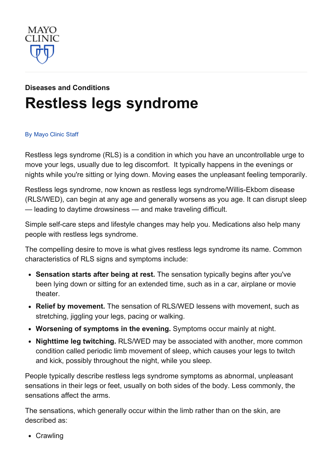

# Diseases and [Conditions](http://www.mayoclinic.org/diseases-conditions) Restless legs [syndrome](http://www.mayoclinic.org/diseases-conditions/restless-legs-syndrome/basics/definition/con-20031101)

#### By [Mayo](http://www.mayoclinic.org/about-this-site/welcome) Clinic Staff

Restless legs syndrome (RLS) is a condition in which you have an uncontrollable urge to move your legs, usually due to leg discomfort. It typically happens in the evenings or nights while you're sitting or lying down. Moving eases the unpleasant feeling temporarily.

Restless legs syndrome, now known as restless legs syndrome/Willis-Ekbom disease (RLS/WED), can begin at any age and generally worsens as you age. It can disrupt sleep — leading to daytime drowsiness — and make traveling difficult.

Simple self-care steps and lifestyle changes may help you. Medications also help many people with restless legs syndrome.

The compelling desire to move is what gives restless legs syndrome its name. Common characteristics of RLS signs and symptoms include:

- Sensation starts after being at rest. The sensation typically begins after you've been lying down or sitting for an extended time, such as in a car, airplane or movie theater.
- Relief by movement. The sensation of RLS/WED lessens with movement, such as stretching, jiggling your legs, pacing or walking.
- Worsening of symptoms in the evening. Symptoms occur mainly at night.
- Nighttime leg twitching. RLS/WED may be associated with another, more common condition called periodic limb movement of sleep, which causes your legs to twitch and kick, possibly throughout the night, while you sleep.

People typically describe restless legs syndrome symptoms as abnormal, unpleasant sensations in their legs or feet, usually on both sides of the body. Less commonly, the sensations affect the arms.

The sensations, which generally occur within the limb rather than on the skin, are described as:

• Crawling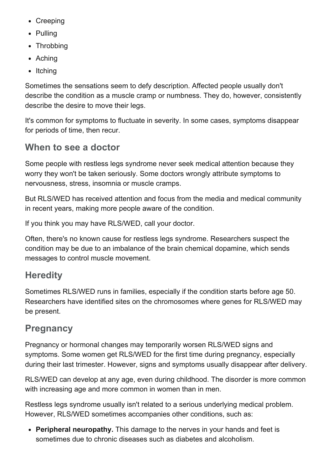- Creeping
- Pulling
- Throbbing
- Aching
- $\bullet$  Itching

Sometimes the sensations seem to defy description. Affected people usually don't describe the condition as a muscle cramp or numbness. They do, however, consistently describe the desire to move their legs.

It's common for symptoms to fluctuate in severity. In some cases, symptoms disappear for periods of time, then recur.

#### When to see a doctor

Some people with restless legs syndrome never seek medical attention because they worry they won't be taken seriously. Some doctors wrongly attribute symptoms to nervousness, stress, insomnia or muscle cramps.

But RLS/WED has received attention and focus from the media and medical community in recent years, making more people aware of the condition.

If you think you may have RLS/WED, call your doctor.

Often, there's no known cause for restless legs syndrome. Researchers suspect the condition may be due to an imbalance of the brain chemical dopamine, which sends messages to control muscle movement.

#### **Heredity**

Sometimes RLS/WED runs in families, especially if the condition starts before age 50. Researchers have identified sites on the chromosomes where genes for RLS/WED may be present.

## **Pregnancy**

Pregnancy or hormonal changes may temporarily worsen RLS/WED signs and symptoms. Some women get RLS/WED for the first time during pregnancy, especially during their last trimester. However, signs and symptoms usually disappear after delivery.

RLS/WED can develop at any age, even during childhood. The disorder is more common with increasing age and more common in women than in men.

Restless legs syndrome usually isn't related to a serious underlying medical problem. However, RLS/WED sometimes accompanies other conditions, such as:

• Peripheral neuropathy. This damage to the nerves in your hands and feet is sometimes due to chronic diseases such as diabetes and alcoholism.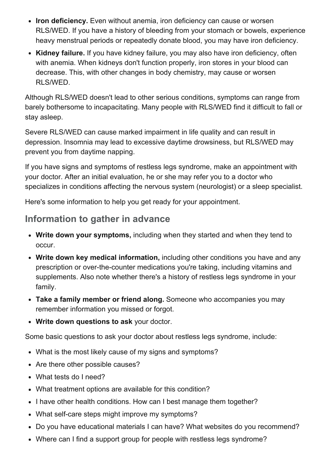- Iron deficiency. Even without anemia, iron deficiency can cause or worsen RLS/WED. If you have a history of bleeding from your stomach or bowels, experience heavy menstrual periods or repeatedly donate blood, you may have iron deficiency.
- Kidney failure. If you have kidney failure, you may also have iron deficiency, often with anemia. When kidneys don't function properly, iron stores in your blood can decrease. This, with other changes in body chemistry, may cause or worsen RLS/WED.

Although RLS/WED doesn't lead to other serious conditions, symptoms can range from barely bothersome to incapacitating. Many people with RLS/WED find it difficult to fall or stay asleep.

Severe RLS/WED can cause marked impairment in life quality and can result in depression. Insomnia may lead to excessive daytime drowsiness, but RLS/WED may prevent you from daytime napping.

If you have signs and symptoms of restless legs syndrome, make an appointment with your doctor. After an initial evaluation, he or she may refer you to a doctor who specializes in conditions affecting the nervous system (neurologist) or a sleep specialist.

Here's some information to help you get ready for your appointment.

#### Information to gather in advance

- Write down your symptoms, including when they started and when they tend to occur.
- Write down key medical information, including other conditions you have and any prescription or over-the-counter medications you're taking, including vitamins and supplements. Also note whether there's a history of restless legs syndrome in your family.
- Take a family member or friend along. Someone who accompanies you may remember information you missed or forgot.
- Write down questions to ask your doctor.

Some basic questions to ask your doctor about restless legs syndrome, include:

- What is the most likely cause of my signs and symptoms?
- Are there other possible causes?
- What tests do I need?
- What treatment options are available for this condition?
- I have other health conditions. How can I best manage them together?
- What self-care steps might improve my symptoms?
- Do you have educational materials I can have? What websites do you recommend?
- Where can I find a support group for people with restless legs syndrome?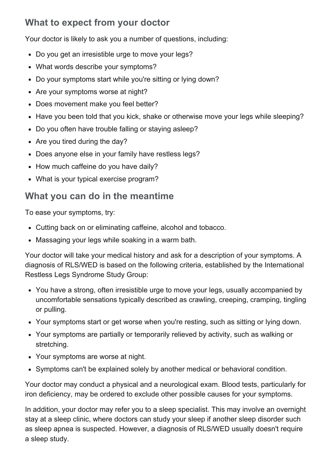## What to expect from your doctor

Your doctor is likely to ask you a number of questions, including:

- Do you get an irresistible urge to move your legs?
- What words describe your symptoms?
- Do your symptoms start while you're sitting or lying down?
- Are your symptoms worse at night?
- Does movement make you feel better?
- Have you been told that you kick, shake or otherwise move your legs while sleeping?
- Do you often have trouble falling or staying asleep?
- Are you tired during the day?
- Does anyone else in your family have restless legs?
- How much caffeine do you have daily?
- What is your typical exercise program?

#### What you can do in the meantime

To ease your symptoms, try:

- Cutting back on or eliminating caffeine, alcohol and tobacco.
- Massaging your legs while soaking in a warm bath.

Your doctor will take your medical history and ask for a description of your symptoms. A diagnosis of RLS/WED is based on the following criteria, established by the International Restless Legs Syndrome Study Group:

- You have a strong, often irresistible urge to move your legs, usually accompanied by uncomfortable sensations typically described as crawling, creeping, cramping, tingling or pulling.
- Your symptoms start or get worse when you're resting, such as sitting or lying down.
- Your symptoms are partially or temporarily relieved by activity, such as walking or stretching.
- Your symptoms are worse at night.
- Symptoms can't be explained solely by another medical or behavioral condition.

Your doctor may conduct a physical and a neurological exam. Blood tests, particularly for iron deficiency, may be ordered to exclude other possible causes for your symptoms.

In addition, your doctor may refer you to a sleep specialist. This may involve an overnight stay at a sleep clinic, where doctors can study your sleep if another sleep disorder such as sleep apnea is suspected. However, a diagnosis of RLS/WED usually doesn't require a sleep study.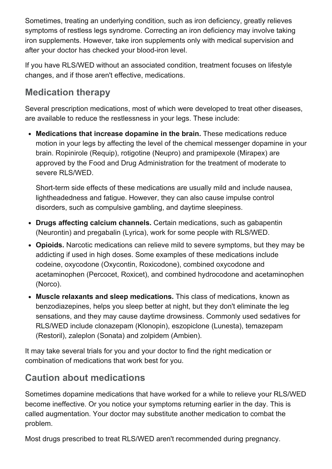Sometimes, treating an underlying condition, such as iron deficiency, greatly relieves symptoms of restless legs syndrome. Correcting an iron deficiency may involve taking iron supplements. However, take iron supplements only with medical supervision and after your doctor has checked your blood-iron level.

If you have RLS/WED without an associated condition, treatment focuses on lifestyle changes, and if those aren't effective, medications.

## Medication therapy

Several prescription medications, most of which were developed to treat other diseases, are available to reduce the restlessness in your legs. These include:

Medications that increase dopamine in the brain. These medications reduce motion in your legs by affecting the level of the chemical messenger dopamine in your brain. Ropinirole (Requip), rotigotine (Neupro) and pramipexole (Mirapex) are approved by the Food and Drug Administration for the treatment of moderate to severe RLS/WED.

Short-term side effects of these medications are usually mild and include nausea, lightheadedness and fatigue. However, they can also cause impulse control disorders, such as compulsive gambling, and daytime sleepiness.

- Drugs affecting calcium channels. Certain medications, such as gabapentin (Neurontin) and pregabalin (Lyrica), work for some people with RLS/WED.
- Opioids. Narcotic medications can relieve mild to severe symptoms, but they may be addicting if used in high doses. Some examples of these medications include codeine, oxycodone (Oxycontin, Roxicodone), combined oxycodone and acetaminophen (Percocet, Roxicet), and combined hydrocodone and acetaminophen (Norco).
- Muscle relaxants and sleep medications. This class of medications, known as benzodiazepines, helps you sleep better at night, but they don't eliminate the leg sensations, and they may cause daytime drowsiness. Commonly used sedatives for RLS/WED include clonazepam (Klonopin), eszopiclone (Lunesta), temazepam (Restoril), zaleplon (Sonata) and zolpidem (Ambien).

It may take several trials for you and your doctor to find the right medication or combination of medications that work best for you.

## Caution about medications

Sometimes dopamine medications that have worked for a while to relieve your RLS/WED become ineffective. Or you notice your symptoms returning earlier in the day. This is called augmentation. Your doctor may substitute another medication to combat the problem.

Most drugs prescribed to treat RLS/WED aren't recommended during pregnancy.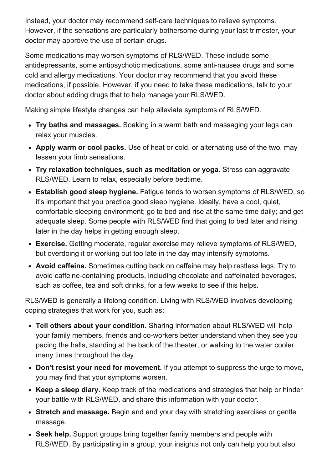Instead, your doctor may recommend self-care techniques to relieve symptoms. However, if the sensations are particularly bothersome during your last trimester, your doctor may approve the use of certain drugs.

Some medications may worsen symptoms of RLS/WED. These include some antidepressants, some antipsychotic medications, some anti-nausea drugs and some cold and allergy medications. Your doctor may recommend that you avoid these medications, if possible. However, if you need to take these medications, talk to your doctor about adding drugs that to help manage your RLS/WED.

Making simple lifestyle changes can help alleviate symptoms of RLS/WED.

- Try baths and massages. Soaking in a warm bath and massaging your legs can relax your muscles.
- Apply warm or cool packs. Use of heat or cold, or alternating use of the two, may lessen your limb sensations.
- Try relaxation techniques, such as meditation or yoga. Stress can aggravate RLS/WED. Learn to relax, especially before bedtime.
- Establish good sleep hygiene. Fatigue tends to worsen symptoms of RLS/WED, so it's important that you practice good sleep hygiene. Ideally, have a cool, quiet, comfortable sleeping environment; go to bed and rise at the same time daily; and get adequate sleep. Some people with RLS/WED find that going to bed later and rising later in the day helps in getting enough sleep.
- Exercise. Getting moderate, regular exercise may relieve symptoms of RLS/WED, but overdoing it or working out too late in the day may intensify symptoms.
- Avoid caffeine. Sometimes cutting back on caffeine may help restless legs. Try to avoid caffeine-containing products, including chocolate and caffeinated beverages, such as coffee, tea and soft drinks, for a few weeks to see if this helps.

RLS/WED is generally a lifelong condition. Living with RLS/WED involves developing coping strategies that work for you, such as:

- Tell others about your condition. Sharing information about RLS/WED will help your family members, friends and co-workers better understand when they see you pacing the halls, standing at the back of the theater, or walking to the water cooler many times throughout the day.
- Don't resist your need for movement. If you attempt to suppress the urge to move, you may find that your symptoms worsen.
- Keep a sleep diary. Keep track of the medications and strategies that help or hinder your battle with RLS/WED, and share this information with your doctor.
- Stretch and massage. Begin and end your day with stretching exercises or gentle massage.
- Seek help. Support groups bring together family members and people with RLS/WED. By participating in a group, your insights not only can help you but also